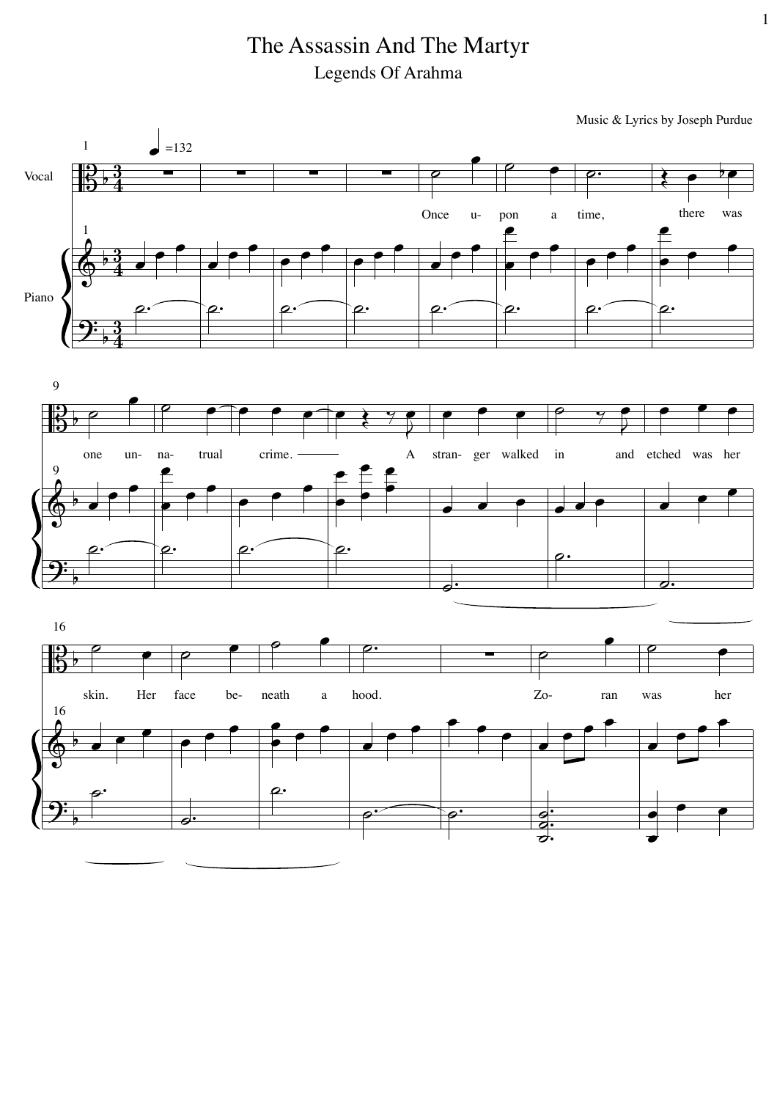## The Assassin And The Martyr Legends Of Arahma

Music & Lyrics by Joseph Purdue

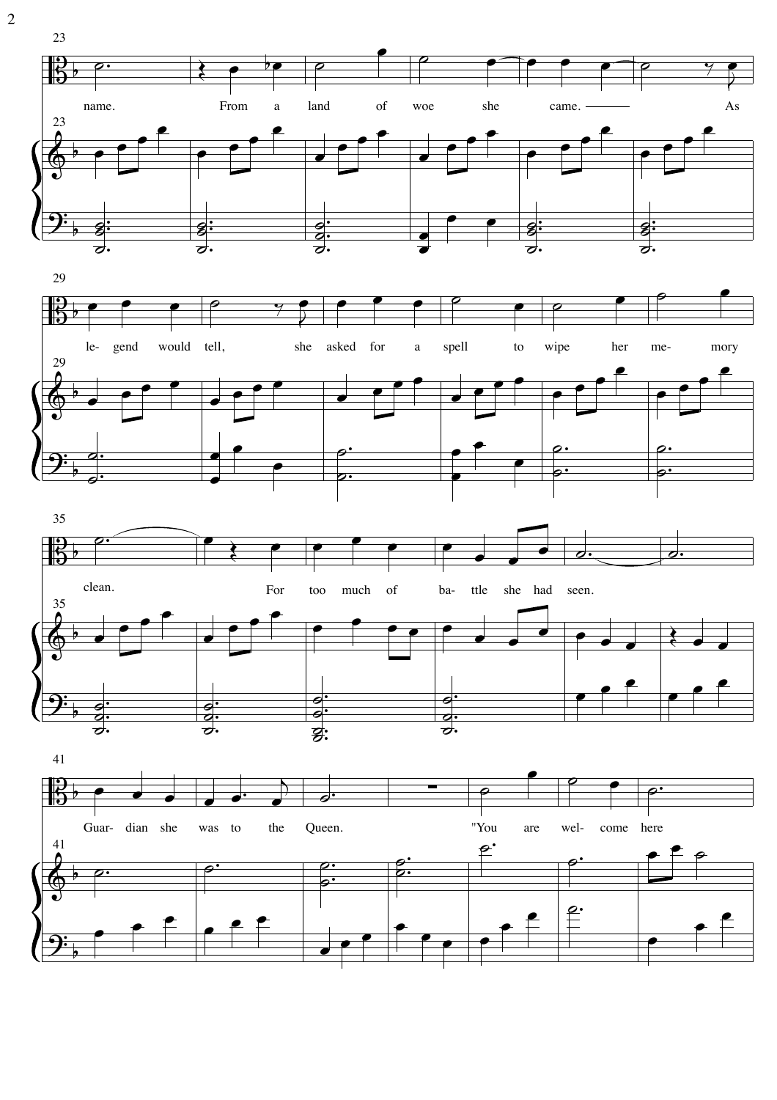

 $\frac{\partial}{\partial t}$ 

 $\overline{2}$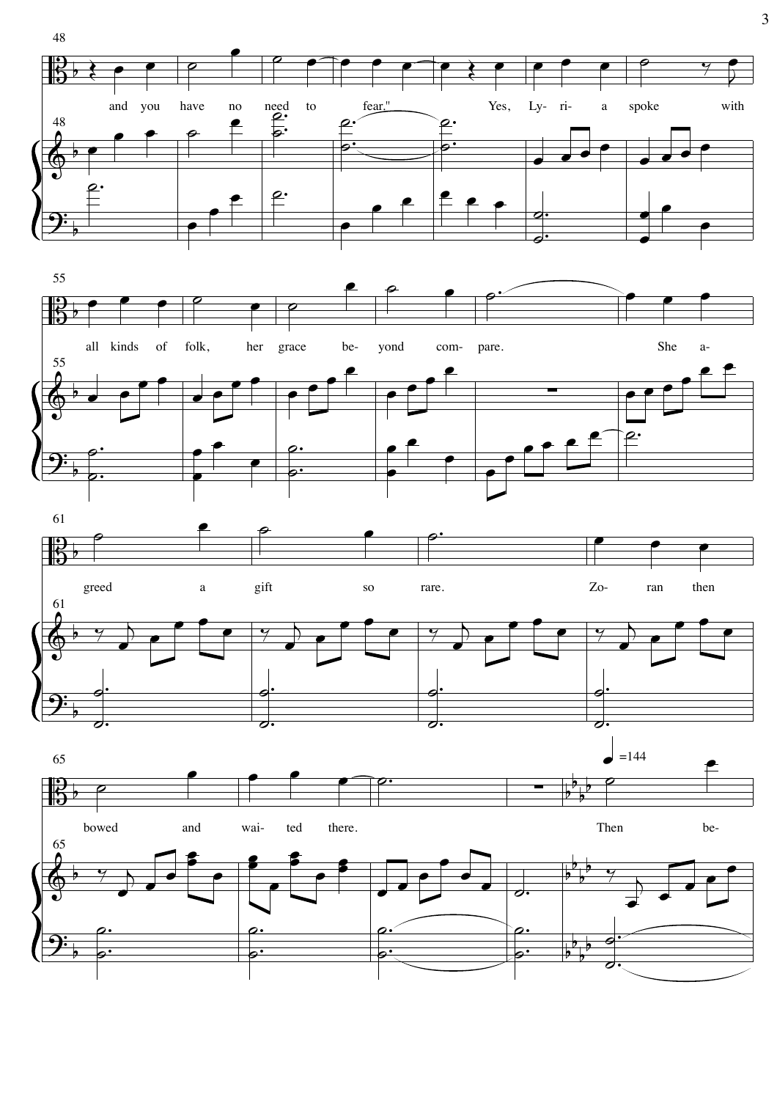

 $\overline{3}$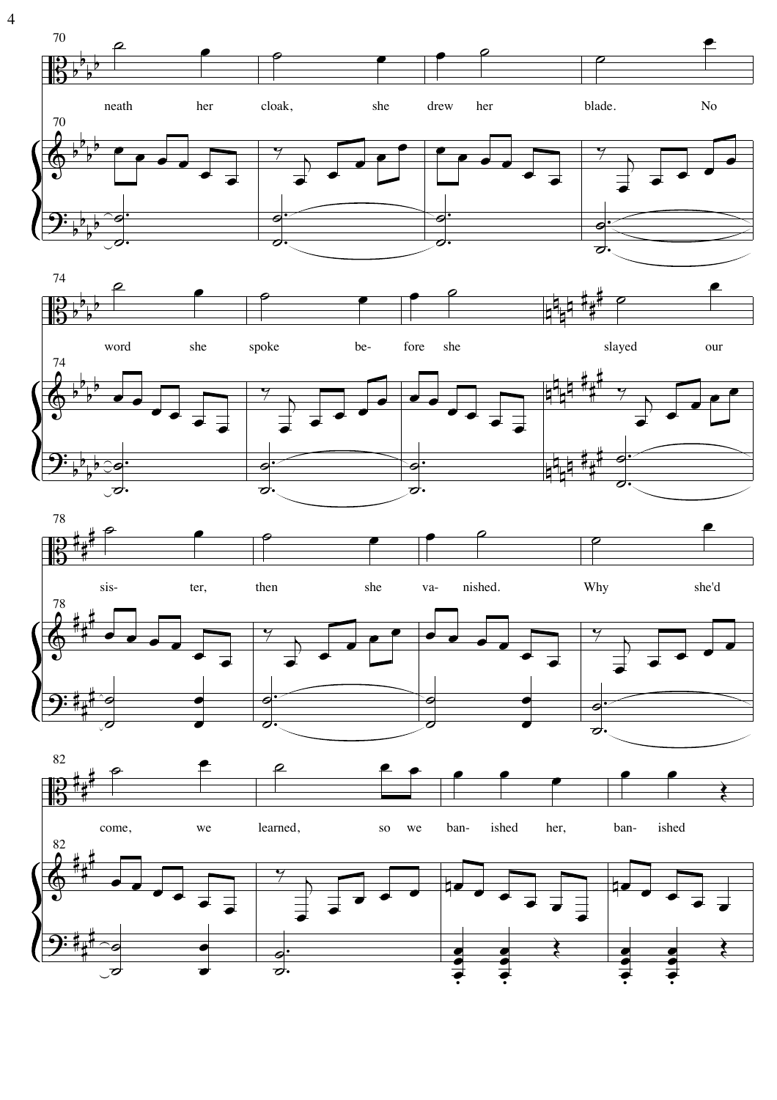70 neath her cloak, she drew blade. her 70  $\overline{\bullet}$  $\overline{\boldsymbol{c}}$  $\overline{\mathcal{O}}$ す 74



 $No$ 





 $\overline{4}$